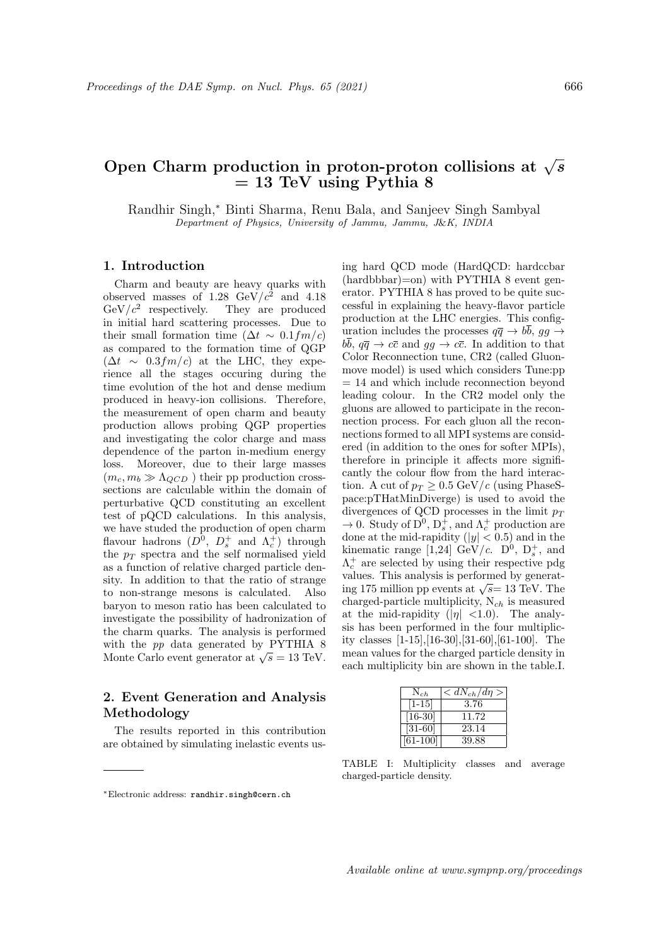# Open Charm production in proton-proton collisions at  $\sqrt{s}$  $= 13$  TeV using Pythia 8

Randhir Singh,<sup>∗</sup> Binti Sharma, Renu Bala, and Sanjeev Singh Sambyal Department of Physics, University of Jammu, Jammu, J&K, INDIA

### 1. Introduction

Charm and beauty are heavy quarks with observed masses of 1.28  $\text{GeV}/c^2$  and 4.18  $\mathrm{GeV}/c^2$ They are produced in initial hard scattering processes. Due to their small formation time  $(\Delta t \sim 0.1 fm/c)$ as compared to the formation time of QGP  $(\Delta t \sim 0.3 fm/c)$  at the LHC, they experience all the stages occuring during the time evolution of the hot and dense medium produced in heavy-ion collisions. Therefore, the measurement of open charm and beauty production allows probing QGP properties and investigating the color charge and mass dependence of the parton in-medium energy loss. Moreover, due to their large masses  $(m_c, m_b \gg \Lambda_{QCD})$  their pp production crosssections are calculable within the domain of perturbative QCD constituting an excellent test of pQCD calculations. In this analysis, we have studed the production of open charm flavour hadrons  $(D^0, D_s^+$  and  $\Lambda_c^+)$  through the  $p_T$  spectra and the self normalised yield as a function of relative charged particle density. In addition to that the ratio of strange to non-strange mesons is calculated. Also baryon to meson ratio has been calculated to investigate the possibility of hadronization of the charm quarks. The analysis is performed with the pp data generated by PYTHIA 8 With the *pp* data generated by  $\overline{r}$  if  $\overline{r}$  in  $\overline{r}$  of Monte Carlo event generator at  $\sqrt{s} = 13$  TeV.

## 2. Event Generation and Analysis Methodology

The results reported in this contribution are obtained by simulating inelastic events using hard QCD mode (HardQCD: hardccbar (hardbbbar)=on) with PYTHIA 8 event generator. PYTHIA 8 has proved to be quite successful in explaining the heavy-flavor particle production at the LHC energies. This configuration includes the processes  $q\bar{q} \rightarrow b\bar{b}$ ,  $gg \rightarrow$  $b\overline{b}$ ,  $q\overline{q} \rightarrow c\overline{c}$  and  $gg \rightarrow c\overline{c}$ . In addition to that Color Reconnection tune, CR2 (called Gluonmove model) is used which considers Tune:pp = 14 and which include reconnection beyond leading colour. In the CR2 model only the gluons are allowed to participate in the reconnection process. For each gluon all the reconnections formed to all MPI systems are considered (in addition to the ones for softer MPIs), therefore in principle it affects more significantly the colour flow from the hard interaction. A cut of  $p_T \geq 0.5$  GeV/c (using PhaseSpace:pTHatMinDiverge) is used to avoid the divergences of QCD processes in the limit  $p_T$  $\to 0$ . Study of  $D^0$ ,  $D_s^+$ , and  $\Lambda_c^+$  production are done at the mid-rapidity ( $|y| < 0.5$ ) and in the kinematic range [1,24]  $\text{GeV}/c$ .  $\text{D}^0$ ,  $\text{D}_s^+$ , and  $\Lambda_c^+$  are selected by using their respective pdg values. This analysis is performed by generatvalues. This analysis is performed by general-<br>ing 175 million pp events at  $\sqrt{s}$ = 13 TeV. The charged-particle multiplicity,  $N_{ch}$  is measured at the mid-rapidity  $(|\eta| < 1.0)$ . The analysis has been performed in the four multiplicity classes [1-15],[16-30],[31-60],[61-100]. The mean values for the charged particle density in each multiplicity bin are shown in the table.I.

| $N_{ch}$   | $dN_{ch}/d\eta >$ |
|------------|-------------------|
| $[1 - 15]$ | 3.76              |
| $[16-30]$  | 11.72             |
| $[31-60]$  | 23.14             |
| $[61-100]$ | 39.88             |

TABLE I: Multiplicity classes and average charged-particle density.

<sup>∗</sup>Electronic address: randhir.singh@cern.ch